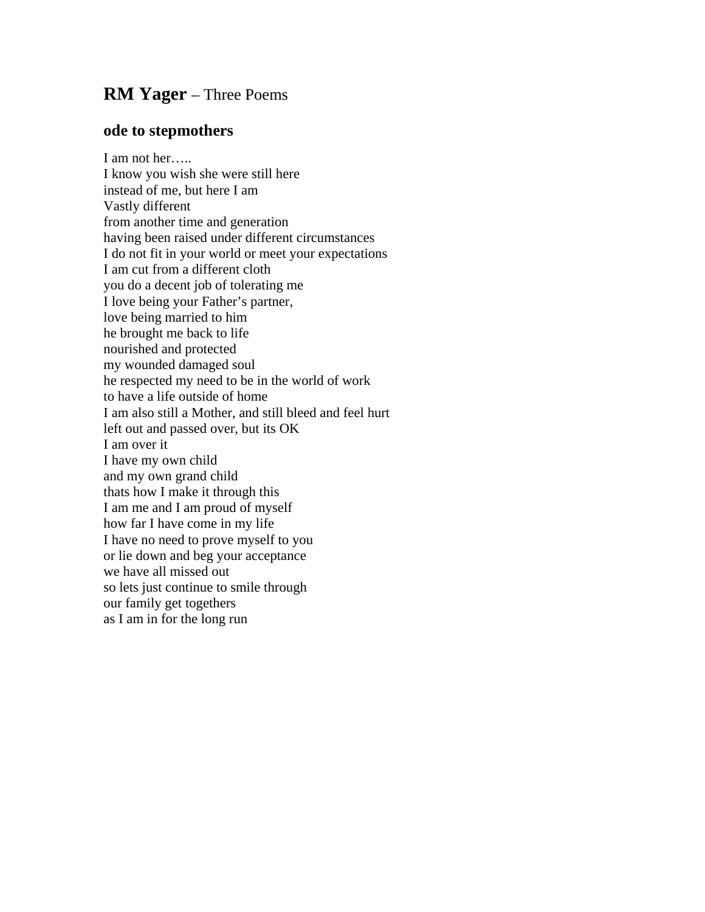## **RM Yager** – Three Poems

## **ode to stepmothers**

I am not her….. I know you wish she were still here instead of me, but here I am Vastly different from another time and generation having been raised under different circumstances I do not fit in your world or meet your expectations I am cut from a different cloth you do a decent job of tolerating me I love being your Father's partner, love being married to him he brought me back to life nourished and protected my wounded damaged soul he respected my need to be in the world of work to have a life outside of home I am also still a Mother, and still bleed and feel hurt left out and passed over, but its OK I am over it I have my own child and my own grand child thats how I make it through this I am me and I am proud of myself how far I have come in my life I have no need to prove myself to you or lie down and beg your acceptance we have all missed out so lets just continue to smile through our family get togethers as I am in for the long run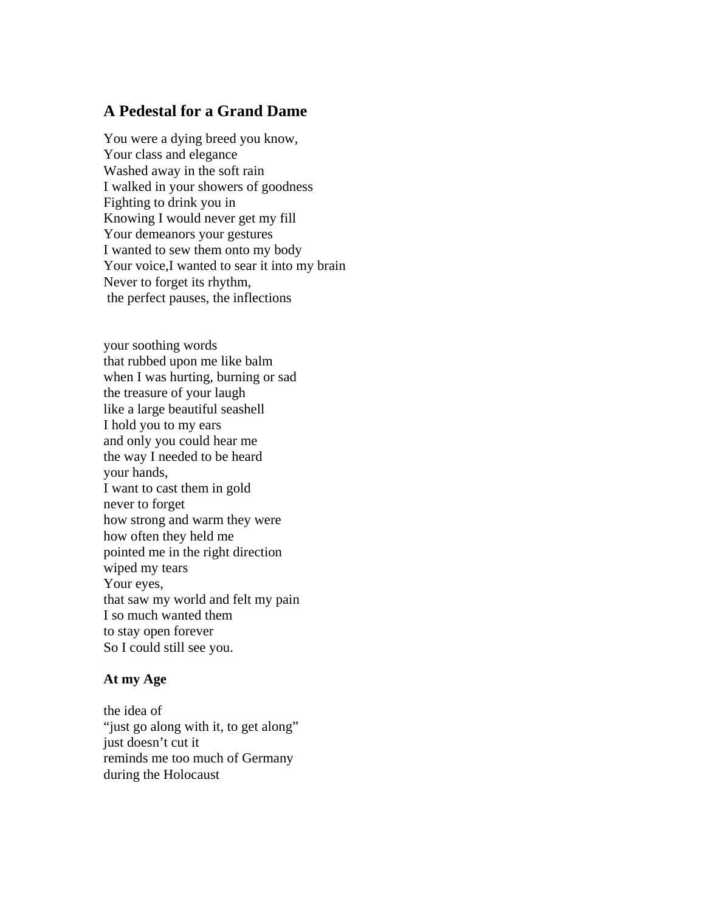## **A Pedestal for a Grand Dame**

You were a dying breed you know, Your class and elegance Washed away in the soft rain I walked in your showers of goodness Fighting to drink you in Knowing I would never get my fill Your demeanors your gestures I wanted to sew them onto my body Your voice,I wanted to sear it into my brain Never to forget its rhythm, the perfect pauses, the inflections

your soothing words that rubbed upon me like balm when I was hurting, burning or sad the treasure of your laugh like a large beautiful seashell I hold you to my ears and only you could hear me the way I needed to be heard your hands, I want to cast them in gold never to forget how strong and warm they were how often they held me pointed me in the right direction wiped my tears Your eyes, that saw my world and felt my pain I so much wanted them to stay open forever So I could still see you.

## **At my Age**

the idea of "just go along with it, to get along" just doesn't cut it reminds me too much of Germany during the Holocaust